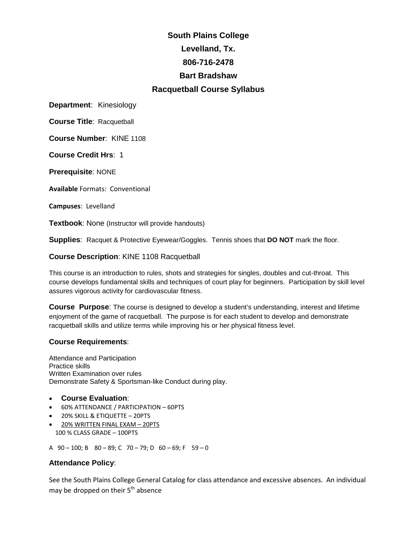# **South Plains College Levelland, Tx. 806-716-2478 Bart Bradshaw Racquetball Course Syllabus**

**Department**: Kinesiology

**Course Title**: Racquetball

**Course Number**: KINE 1108

**Course Credit Hrs**: 1

**Prerequisite**: NONE

**Available** Formats: Conventional

**Campuses**: Levelland

**Textbook**: None (Instructor will provide handouts)

**Supplies**: Racquet & Protective Eyewear/Goggles. Tennis shoes that **DO NOT** mark the floor.

**Course Description**: KINE 1108 Racquetball

This course is an introduction to rules, shots and strategies for singles, doubles and cut-throat. This course develops fundamental skills and techniques of court play for beginners. Participation by skill level assures vigorous activity for cardiovascular fitness.

**Course Purpose**: The course is designed to develop a student's understanding, interest and lifetime enjoyment of the game of racquetball. The purpose is for each student to develop and demonstrate racquetball skills and utilize terms while improving his or her physical fitness level.

# **Course Requirements**:

Attendance and Participation Practice skills Written Examination over rules Demonstrate Safety & Sportsman-like Conduct during play.

## • **Course Evaluation**:

- 60% ATTENDANCE / PARTICIPATION 60PTS
- 20% SKILL & ETIQUETTE 20PTS
- 20% WRITTEN FINAL EXAM 20PTS 100 % CLASS GRADE – 100PTS
- A  $90 100$ ; B  $80 89$ ; C  $70 79$ ; D  $60 69$ ; F  $59 0$

## **Attendance Policy**:

See the South Plains College General Catalog for class attendance and excessive absences. An individual may be dropped on their 5<sup>th</sup> absence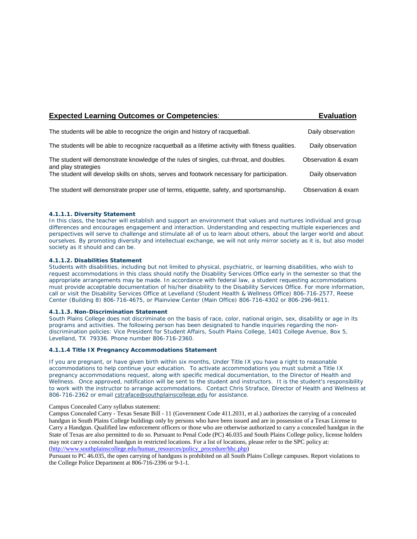| <b>Expected Learning Outcomes or Competencies:</b>                                                              | <b>Evaluation</b>  |
|-----------------------------------------------------------------------------------------------------------------|--------------------|
| The students will be able to recognize the origin and history of racquetball.                                   | Daily observation  |
| The students will be able to recognize racquetball as a lifetime activity with fitness qualities.               | Daily observation  |
| The student will demonstrate knowledge of the rules of singles, cut-throat, and doubles.<br>and play strategies | Observation & exam |
| The student will develop skills on shots, serves and footwork necessary for participation.                      | Daily observation  |
| The student will demonstrate proper use of terms, etiquette, safety, and sportsmanship.                         | Observation & exam |

#### **4.1.1.1. Diversity Statement**

In this class, the teacher will establish and support an environment that values and nurtures individual and group differences and encourages engagement and interaction. Understanding and respecting multiple experiences and perspectives will serve to challenge and stimulate all of us to learn about others, about the larger world and about ourselves. By promoting diversity and intellectual exchange, we will not only mirror society as it is, but also model society as it should and can be.

#### **4.1.1.2. Disabilities Statement**

Students with disabilities, including but not limited to physical, psychiatric, or learning disabilities, who wish to request accommodations in this class should notify the Disability Services Office early in the semester so that the appropriate arrangements may be made. In accordance with federal law, a student requesting accommodations must provide acceptable documentation of his/her disability to the Disability Services Office. For more information, call or visit the Disability Services Office at Levelland (Student Health & Wellness Office) 806-716-2577, Reese Center (Building 8) 806-716-4675, or Plainview Center (Main Office) 806-716-4302 or 806-296-9611.

#### **4.1.1.3. Non-Discrimination Statement**

South Plains College does not discriminate on the basis of race, color, national origin, sex, disability or age in its programs and activities. The following person has been designated to handle inquiries regarding the nondiscrimination policies: Vice President for Student Affairs, South Plains College, 1401 College Avenue, Box 5, Levelland, TX 79336. Phone number 806-716-2360.

#### **4.1.1.4 Title IX Pregnancy Accommodations Statement**

If you are pregnant, or have given birth within six months, Under Title IX you have a right to reasonable accommodations to help continue your education. To activate accommodations you must submit a Title IX pregnancy accommodations request, along with specific medical documentation, to the Director of Health and Wellness. Once approved, notification will be sent to the student and instructors. It is the student's responsibility to work with the instructor to arrange accommodations. Contact Chris Straface, Director of Health and Wellness at 806-716-2362 or email [cstraface@southplainscollege.edu](mailto:cstraface@southplainscollege.edu) for assistance.

Campus Concealed Carry syllabus statement:

Campus Concealed Carry - Texas Senate Bill - 11 (Government Code 411.2031, et al.) authorizes the carrying of a concealed handgun in South Plains College buildings only by persons who have been issued and are in possession of a Texas License to Carry a Handgun. Qualified law enforcement officers or those who are otherwise authorized to carry a concealed handgun in the State of Texas are also permitted to do so. Pursuant to Penal Code (PC) 46.035 and South Plains College policy, license holders may not carry a concealed handgun in restricted locations. For a list of locations, please refer to the SPC policy at: [\(http://www.southplainscollege.edu/human\\_resources/policy\\_procedure/hhc.php\)](http://www.southplainscollege.edu/human_resources/policy_procedure/hhc.php)

Pursuant to PC 46.035, the open carrying of handguns is prohibited on all South Plains College campuses. Report violations to the College Police Department at 806-716-2396 or 9-1-1.